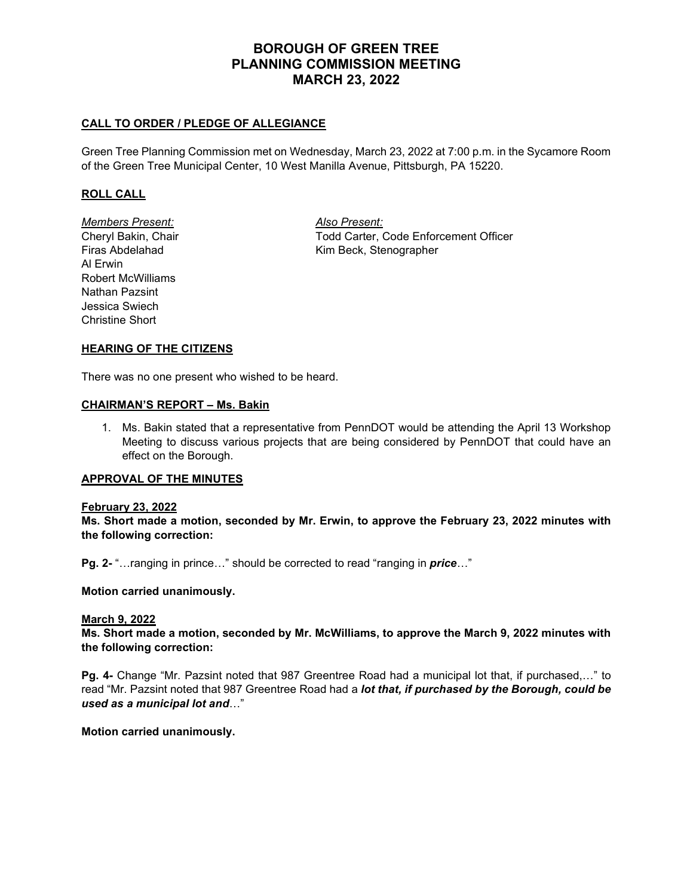# **BOROUGH OF GREEN TREE PLANNING COMMISSION MEETING MARCH 23, 2022**

## **CALL TO ORDER / PLEDGE OF ALLEGIANCE**

Green Tree Planning Commission met on Wednesday, March 23, 2022 at 7:00 p.m. in the Sycamore Room of the Green Tree Municipal Center, 10 West Manilla Avenue, Pittsburgh, PA 15220.

## **ROLL CALL**

*Members Present: Also Present:* Al Erwin Robert McWilliams Nathan Pazsint Jessica Swiech Christine Short

Cheryl Bakin, Chair Todd Carter, Code Enforcement Officer Firas Abdelahad Kim Beck, Stenographer

## **HEARING OF THE CITIZENS**

There was no one present who wished to be heard.

### **CHAIRMAN'S REPORT – Ms. Bakin**

1. Ms. Bakin stated that a representative from PennDOT would be attending the April 13 Workshop Meeting to discuss various projects that are being considered by PennDOT that could have an effect on the Borough.

## **APPROVAL OF THE MINUTES**

#### **February 23, 2022**

**Ms. Short made a motion, seconded by Mr. Erwin, to approve the February 23, 2022 minutes with the following correction:**

**Pg. 2-** "…ranging in prince…" should be corrected to read "ranging in *price*…"

**Motion carried unanimously.**

#### **March 9, 2022**

**Ms. Short made a motion, seconded by Mr. McWilliams, to approve the March 9, 2022 minutes with the following correction:**

**Pg. 4-** Change "Mr. Pazsint noted that 987 Greentree Road had a municipal lot that, if purchased,…" to read "Mr. Pazsint noted that 987 Greentree Road had a *lot that, if purchased by the Borough, could be used as a municipal lot and*…"

**Motion carried unanimously.**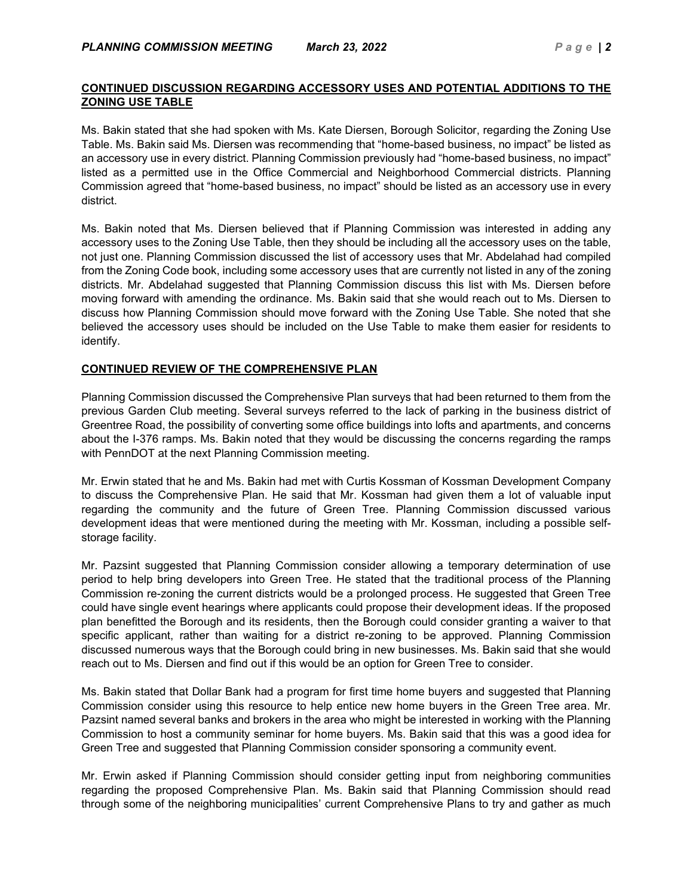## **CONTINUED DISCUSSION REGARDING ACCESSORY USES AND POTENTIAL ADDITIONS TO THE ZONING USE TABLE**

Ms. Bakin stated that she had spoken with Ms. Kate Diersen, Borough Solicitor, regarding the Zoning Use Table. Ms. Bakin said Ms. Diersen was recommending that "home-based business, no impact" be listed as an accessory use in every district. Planning Commission previously had "home-based business, no impact" listed as a permitted use in the Office Commercial and Neighborhood Commercial districts. Planning Commission agreed that "home-based business, no impact" should be listed as an accessory use in every district.

Ms. Bakin noted that Ms. Diersen believed that if Planning Commission was interested in adding any accessory uses to the Zoning Use Table, then they should be including all the accessory uses on the table, not just one. Planning Commission discussed the list of accessory uses that Mr. Abdelahad had compiled from the Zoning Code book, including some accessory uses that are currently not listed in any of the zoning districts. Mr. Abdelahad suggested that Planning Commission discuss this list with Ms. Diersen before moving forward with amending the ordinance. Ms. Bakin said that she would reach out to Ms. Diersen to discuss how Planning Commission should move forward with the Zoning Use Table. She noted that she believed the accessory uses should be included on the Use Table to make them easier for residents to identify.

## **CONTINUED REVIEW OF THE COMPREHENSIVE PLAN**

Planning Commission discussed the Comprehensive Plan surveys that had been returned to them from the previous Garden Club meeting. Several surveys referred to the lack of parking in the business district of Greentree Road, the possibility of converting some office buildings into lofts and apartments, and concerns about the I-376 ramps. Ms. Bakin noted that they would be discussing the concerns regarding the ramps with PennDOT at the next Planning Commission meeting.

Mr. Erwin stated that he and Ms. Bakin had met with Curtis Kossman of Kossman Development Company to discuss the Comprehensive Plan. He said that Mr. Kossman had given them a lot of valuable input regarding the community and the future of Green Tree. Planning Commission discussed various development ideas that were mentioned during the meeting with Mr. Kossman, including a possible selfstorage facility.

Mr. Pazsint suggested that Planning Commission consider allowing a temporary determination of use period to help bring developers into Green Tree. He stated that the traditional process of the Planning Commission re-zoning the current districts would be a prolonged process. He suggested that Green Tree could have single event hearings where applicants could propose their development ideas. If the proposed plan benefitted the Borough and its residents, then the Borough could consider granting a waiver to that specific applicant, rather than waiting for a district re-zoning to be approved. Planning Commission discussed numerous ways that the Borough could bring in new businesses. Ms. Bakin said that she would reach out to Ms. Diersen and find out if this would be an option for Green Tree to consider.

Ms. Bakin stated that Dollar Bank had a program for first time home buyers and suggested that Planning Commission consider using this resource to help entice new home buyers in the Green Tree area. Mr. Pazsint named several banks and brokers in the area who might be interested in working with the Planning Commission to host a community seminar for home buyers. Ms. Bakin said that this was a good idea for Green Tree and suggested that Planning Commission consider sponsoring a community event.

Mr. Erwin asked if Planning Commission should consider getting input from neighboring communities regarding the proposed Comprehensive Plan. Ms. Bakin said that Planning Commission should read through some of the neighboring municipalities' current Comprehensive Plans to try and gather as much